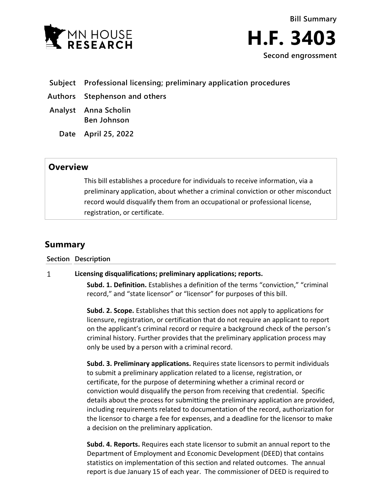



- **Subject Professional licensing; preliminary application procedures**
- **Authors Stephenson and others**
- **Analyst Anna Scholin Ben Johnson**
	- **Date April 25, 2022**

## **Overview**

This bill establishes a procedure for individuals to receive information, via a preliminary application, about whether a criminal conviction or other misconduct record would disqualify them from an occupational or professional license, registration, or certificate.

# **Summary**

#### **Section Description**

#### $\mathbf{1}$ **Licensing disqualifications; preliminary applications; reports.**

**Subd. 1. Definition.** Establishes a definition of the terms "conviction," "criminal record," and "state licensor" or "licensor" for purposes of this bill.

**Subd. 2. Scope.** Establishes that this section does not apply to applications for licensure, registration, or certification that do not require an applicant to report on the applicant's criminal record or require a background check of the person's criminal history. Further provides that the preliminary application process may only be used by a person with a criminal record.

**Subd. 3. Preliminary applications.** Requires state licensors to permit individuals to submit a preliminary application related to a license, registration, or certificate, for the purpose of determining whether a criminal record or conviction would disqualify the person from receiving that credential. Specific details about the process for submitting the preliminary application are provided, including requirements related to documentation of the record, authorization for the licensor to charge a fee for expenses, and a deadline for the licensor to make a decision on the preliminary application.

**Subd. 4. Reports.** Requires each state licensor to submit an annual report to the Department of Employment and Economic Development (DEED) that contains statistics on implementation of this section and related outcomes. The annual report is due January 15 of each year. The commissioner of DEED is required to